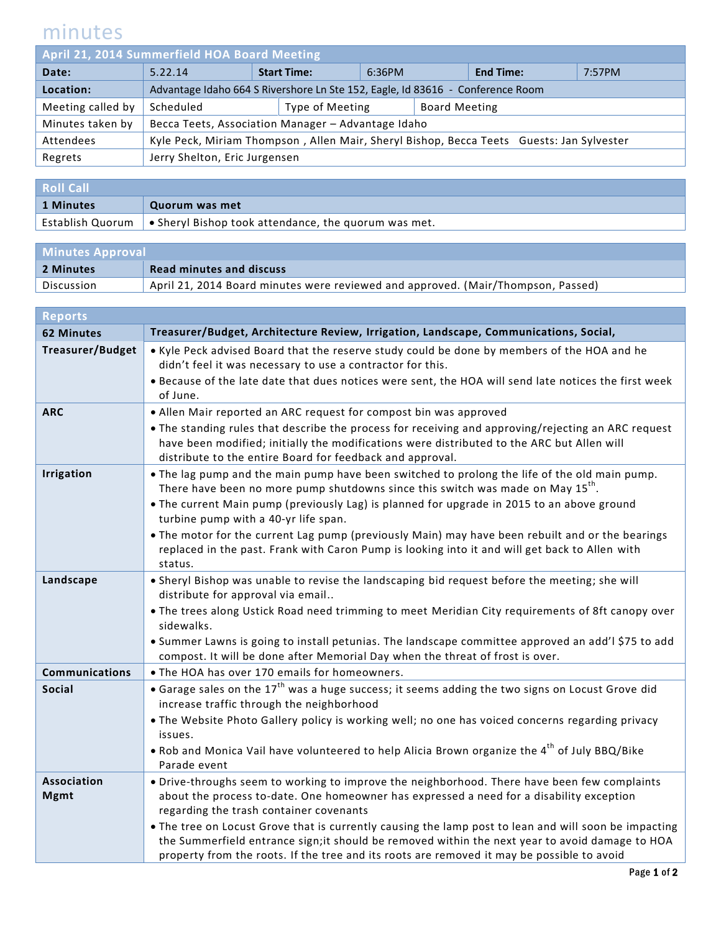## minutes

| April 21, 2014 Summerfield HOA Board Meeting |                                                                                          |  |                              |  |                      |                  |        |
|----------------------------------------------|------------------------------------------------------------------------------------------|--|------------------------------|--|----------------------|------------------|--------|
| Date:                                        | 5.22.14                                                                                  |  | <b>Start Time:</b><br>6:36PM |  |                      | <b>End Time:</b> | 7:57PM |
| Location:                                    | Advantage Idaho 664 S Rivershore Ln Ste 152, Eagle, Id 83616 - Conference Room           |  |                              |  |                      |                  |        |
| Meeting called by                            | Scheduled                                                                                |  | Type of Meeting              |  | <b>Board Meeting</b> |                  |        |
| Minutes taken by                             | Becca Teets, Association Manager - Advantage Idaho                                       |  |                              |  |                      |                  |        |
| Attendees                                    | Kyle Peck, Miriam Thompson, Allen Mair, Sheryl Bishop, Becca Teets Guests: Jan Sylvester |  |                              |  |                      |                  |        |
| Regrets                                      | Jerry Shelton, Eric Jurgensen                                                            |  |                              |  |                      |                  |        |
|                                              |                                                                                          |  |                              |  |                      |                  |        |

| <b>Roll Call</b> |                                                                               |  |
|------------------|-------------------------------------------------------------------------------|--|
| 1 Minutes        | Quorum was met                                                                |  |
|                  | Establish Quorum $\bullet$ Sheryl Bishop took attendance, the quorum was met. |  |

| <b>Minutes Approval</b> |                                                                                  |  |
|-------------------------|----------------------------------------------------------------------------------|--|
| 2 Minutes               | <b>Read minutes and discuss</b>                                                  |  |
| Discussion              | April 21, 2014 Board minutes were reviewed and approved. (Mair/Thompson, Passed) |  |

| <b>Reports</b>                    |                                                                                                                                                                                                                                                                                                                                                                                                                                                                                                                                               |
|-----------------------------------|-----------------------------------------------------------------------------------------------------------------------------------------------------------------------------------------------------------------------------------------------------------------------------------------------------------------------------------------------------------------------------------------------------------------------------------------------------------------------------------------------------------------------------------------------|
| <b>62 Minutes</b>                 | Treasurer/Budget, Architecture Review, Irrigation, Landscape, Communications, Social,                                                                                                                                                                                                                                                                                                                                                                                                                                                         |
| <b>Treasurer/Budget</b>           | • Kyle Peck advised Board that the reserve study could be done by members of the HOA and he<br>didn't feel it was necessary to use a contractor for this.<br>. Because of the late date that dues notices were sent, the HOA will send late notices the first week<br>of June.                                                                                                                                                                                                                                                                |
| <b>ARC</b>                        | • Allen Mair reported an ARC request for compost bin was approved<br>• The standing rules that describe the process for receiving and approving/rejecting an ARC request<br>have been modified; initially the modifications were distributed to the ARC but Allen will<br>distribute to the entire Board for feedback and approval.                                                                                                                                                                                                           |
| <b>Irrigation</b>                 | • The lag pump and the main pump have been switched to prolong the life of the old main pump.<br>There have been no more pump shutdowns since this switch was made on May $15^{th}$ .<br>• The current Main pump (previously Lag) is planned for upgrade in 2015 to an above ground<br>turbine pump with a 40-yr life span.<br>. The motor for the current Lag pump (previously Main) may have been rebuilt and or the bearings<br>replaced in the past. Frank with Caron Pump is looking into it and will get back to Allen with<br>status.  |
| Landscape                         | . Sheryl Bishop was unable to revise the landscaping bid request before the meeting; she will<br>distribute for approval via email<br>. The trees along Ustick Road need trimming to meet Meridian City requirements of 8ft canopy over<br>sidewalks.<br>• Summer Lawns is going to install petunias. The landscape committee approved an add'l \$75 to add<br>compost. It will be done after Memorial Day when the threat of frost is over.                                                                                                  |
| <b>Communications</b>             | . The HOA has over 170 emails for homeowners.                                                                                                                                                                                                                                                                                                                                                                                                                                                                                                 |
| <b>Social</b>                     | $\bullet$ Garage sales on the 17 <sup>th</sup> was a huge success; it seems adding the two signs on Locust Grove did<br>increase traffic through the neighborhood<br>. The Website Photo Gallery policy is working well; no one has voiced concerns regarding privacy<br>issues.<br>. Rob and Monica Vail have volunteered to help Alicia Brown organize the 4 <sup>th</sup> of July BBQ/Bike<br>Parade event                                                                                                                                 |
| <b>Association</b><br><b>Mgmt</b> | • Drive-throughs seem to working to improve the neighborhood. There have been few complaints<br>about the process to-date. One homeowner has expressed a need for a disability exception<br>regarding the trash container covenants<br>. The tree on Locust Grove that is currently causing the lamp post to lean and will soon be impacting<br>the Summerfield entrance sign; it should be removed within the next year to avoid damage to HOA<br>property from the roots. If the tree and its roots are removed it may be possible to avoid |